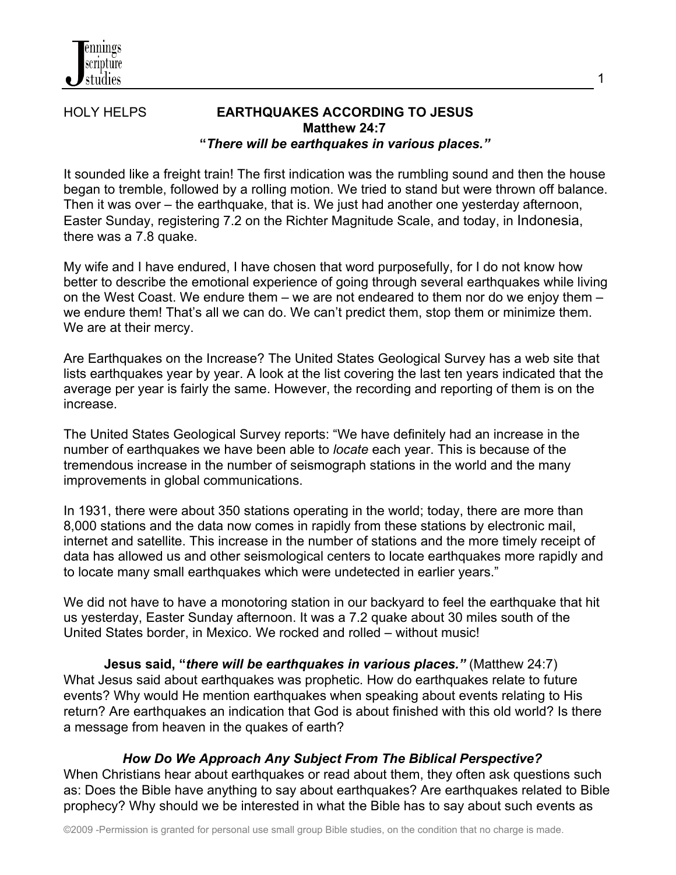# HOLY HELPS **EARTHQUAKES ACCORDING TO JESUS Matthew 24:7 "***There will be earthquakes in various places."*

It sounded like a freight train! The first indication was the rumbling sound and then the house began to tremble, followed by a rolling motion. We tried to stand but were thrown off balance. Then it was over – the earthquake, that is. We just had another one yesterday afternoon, Easter Sunday, registering 7.2 on the Richter Magnitude Scale, and today, in Indonesia, there was a 7.8 quake.

My wife and I have endured, I have chosen that word purposefully, for I do not know how better to describe the emotional experience of going through several earthquakes while living on the West Coast. We endure them – we are not endeared to them nor do we enjoy them – we endure them! That's all we can do. We can't predict them, stop them or minimize them. We are at their mercy.

Are Earthquakes on the Increase? The United States Geological Survey has a web site that lists earthquakes year by year. A look at the list covering the last ten years indicated that the average per year is fairly the same. However, the recording and reporting of them is on the increase.

The United States Geological Survey reports: "We have definitely had an increase in the number of earthquakes we have been able to *locate* each year. This is because of the tremendous increase in the number of seismograph stations in the world and the many improvements in global communications.

In 1931, there were about 350 stations operating in the world; today, there are more than 8,000 stations and the data now comes in rapidly from these stations by electronic mail, internet and satellite. This increase in the number of stations and the more timely receipt of data has allowed us and other seismological centers to locate earthquakes more rapidly and to locate many small earthquakes which were undetected in earlier years."

We did not have to have a monotoring station in our backyard to feel the earthquake that hit us yesterday, Easter Sunday afternoon. It was a 7.2 quake about 30 miles south of the United States border, in Mexico. We rocked and rolled – without music!

 **Jesus said, "***there will be earthquakes in various places."* (Matthew 24:7) What Jesus said about earthquakes was prophetic. How do earthquakes relate to future events? Why would He mention earthquakes when speaking about events relating to His return? Are earthquakes an indication that God is about finished with this old world? Is there a message from heaven in the quakes of earth?

#### *How Do We Approach Any Subject From The Biblical Perspective?*

When Christians hear about earthquakes or read about them, they often ask questions such as: Does the Bible have anything to say about earthquakes? Are earthquakes related to Bible prophecy? Why should we be interested in what the Bible has to say about such events as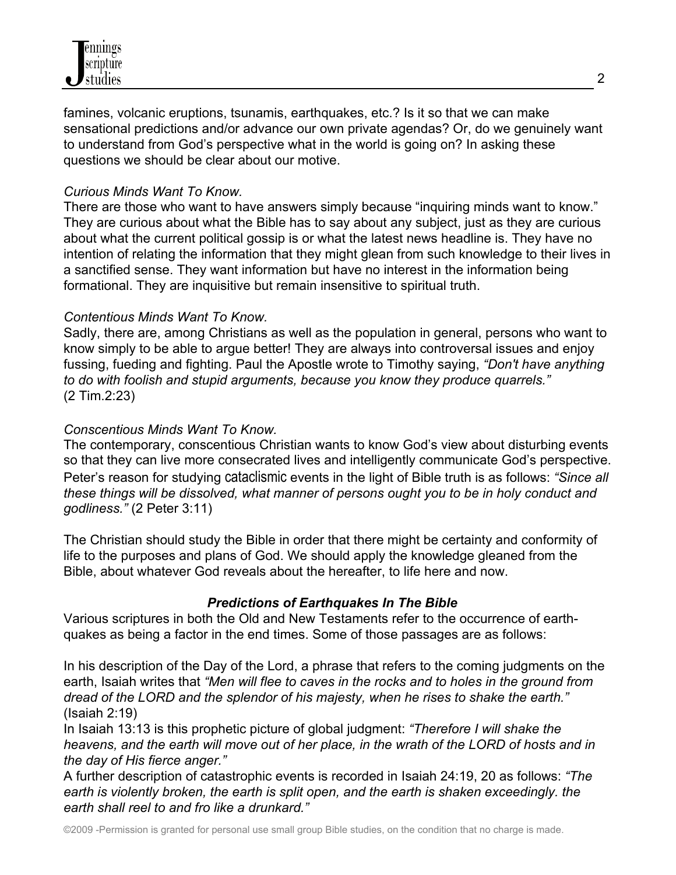famines, volcanic eruptions, tsunamis, earthquakes, etc.? Is it so that we can make sensational predictions and/or advance our own private agendas? Or, do we genuinely want to understand from God's perspective what in the world is going on? In asking these questions we should be clear about our motive.

#### *Curious Minds Want To Know.*

There are those who want to have answers simply because "inquiring minds want to know." They are curious about what the Bible has to say about any subject, just as they are curious about what the current political gossip is or what the latest news headline is. They have no intention of relating the information that they might glean from such knowledge to their lives in a sanctified sense. They want information but have no interest in the information being formational. They are inquisitive but remain insensitive to spiritual truth.

## *Contentious Minds Want To Know.*

Sadly, there are, among Christians as well as the population in general, persons who want to know simply to be able to argue better! They are always into controversal issues and enjoy fussing, fueding and fighting. Paul the Apostle wrote to Timothy saying, *"Don't have anything to do with foolish and stupid arguments, because you know they produce quarrels."* (2 Tim.2:23)

## *Conscentious Minds Want To Know.*

The contemporary, conscentious Christian wants to know God's view about disturbing events so that they can live more consecrated lives and intelligently communicate God's perspective. Peter's reason for studying cataclismic events in the light of Bible truth is as follows: *"Since all these things will be dissolved, what manner of persons ought you to be in holy conduct and godliness."* (2 Peter 3:11)

The Christian should study the Bible in order that there might be certainty and conformity of life to the purposes and plans of God. We should apply the knowledge gleaned from the Bible, about whatever God reveals about the hereafter, to life here and now.

#### *Predictions of Earthquakes In The Bible*

Various scriptures in both the Old and New Testaments refer to the occurrence of earthquakes as being a factor in the end times. Some of those passages are as follows:

In his description of the Day of the Lord, a phrase that refers to the coming judgments on the earth, Isaiah writes that *"Men will flee to caves in the rocks and to holes in the ground from dread of the LORD and the splendor of his majesty, when he rises to shake the earth."*  (Isaiah 2:19)

In Isaiah 13:13 is this prophetic picture of global judgment: *"Therefore I will shake the heavens, and the earth will move out of her place, in the wrath of the LORD of hosts and in the day of His fierce anger."*

A further description of catastrophic events is recorded in Isaiah 24:19, 20 as follows: *"The*  earth is violently broken, the earth is split open, and the earth is shaken exceedingly, the *earth shall reel to and fro like a drunkard."*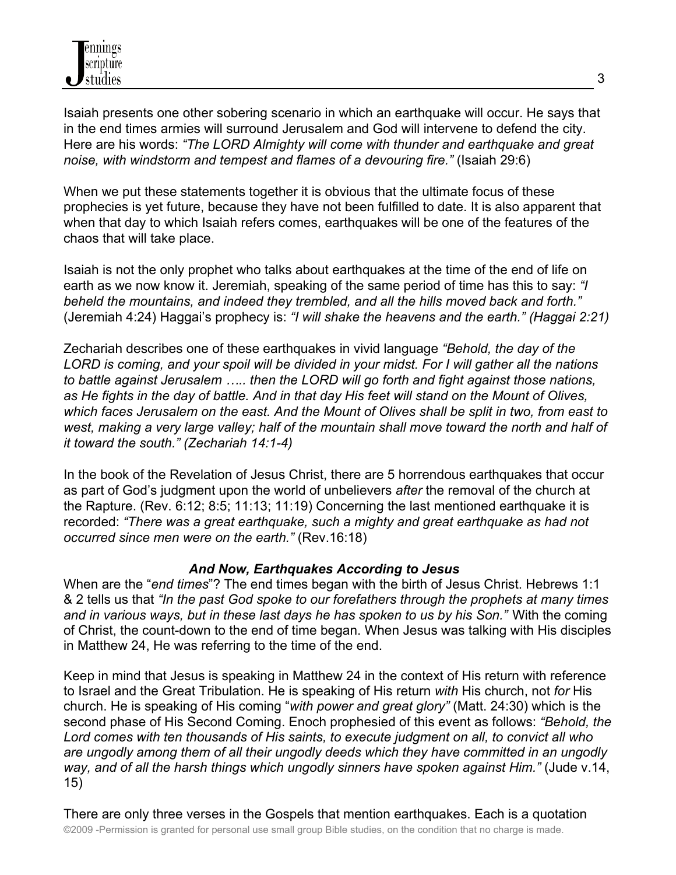

Isaiah presents one other sobering scenario in which an earthquake will occur. He says that in the end times armies will surround Jerusalem and God will intervene to defend the city. Here are his words: *"The LORD Almighty will come with thunder and earthquake and great noise, with windstorm and tempest and flames of a devouring fire."* (Isaiah 29:6)

When we put these statements together it is obvious that the ultimate focus of these prophecies is yet future, because they have not been fulfilled to date. It is also apparent that when that day to which Isaiah refers comes, earthquakes will be one of the features of the chaos that will take place.

Isaiah is not the only prophet who talks about earthquakes at the time of the end of life on earth as we now know it. Jeremiah, speaking of the same period of time has this to say: *"I beheld the mountains, and indeed they trembled, and all the hills moved back and forth."* (Jeremiah 4:24) Haggai's prophecy is: *"I will shake the heavens and the earth." (Haggai 2:21)*

Zechariah describes one of these earthquakes in vivid language *"Behold, the day of the LORD is coming, and your spoil will be divided in your midst. For I will gather all the nations to battle against Jerusalem ….. then the LORD will go forth and fight against those nations, as He fights in the day of battle. And in that day His feet will stand on the Mount of Olives, which faces Jerusalem on the east. And the Mount of Olives shall be split in two, from east to west, making a very large valley; half of the mountain shall move toward the north and half of it toward the south." (Zechariah 14:1-4)*

In the book of the Revelation of Jesus Christ, there are 5 horrendous earthquakes that occur as part of God's judgment upon the world of unbelievers *after* the removal of the church at the Rapture. (Rev. 6:12; 8:5; 11:13; 11:19) Concerning the last mentioned earthquake it is recorded: *"There was a great earthquake, such a mighty and great earthquake as had not occurred since men were on the earth."* (Rev.16:18)

#### *And Now, Earthquakes According to Jesus*

When are the "*end times*"? The end times began with the birth of Jesus Christ. Hebrews 1:1 & 2 tells us that *"In the past God spoke to our forefathers through the prophets at many times and in various ways, but in these last days he has spoken to us by his Son."* With the coming of Christ, the count-down to the end of time began. When Jesus was talking with His disciples in Matthew 24, He was referring to the time of the end.

Keep in mind that Jesus is speaking in Matthew 24 in the context of His return with reference to Israel and the Great Tribulation. He is speaking of His return *with* His church, not *for* His church. He is speaking of His coming "*with power and great glory"* (Matt. 24:30) which is the second phase of His Second Coming. Enoch prophesied of this event as follows: *"Behold, the Lord comes with ten thousands of His saints, to execute judgment on all, to convict all who are ungodly among them of all their ungodly deeds which they have committed in an ungodly way, and of all the harsh things which ungodly sinners have spoken against Him."* (Jude v.14, 15)

©2009 -Permission is granted for personal use small group Bible studies, on the condition that no charge is made. There are only three verses in the Gospels that mention earthquakes. Each is a quotation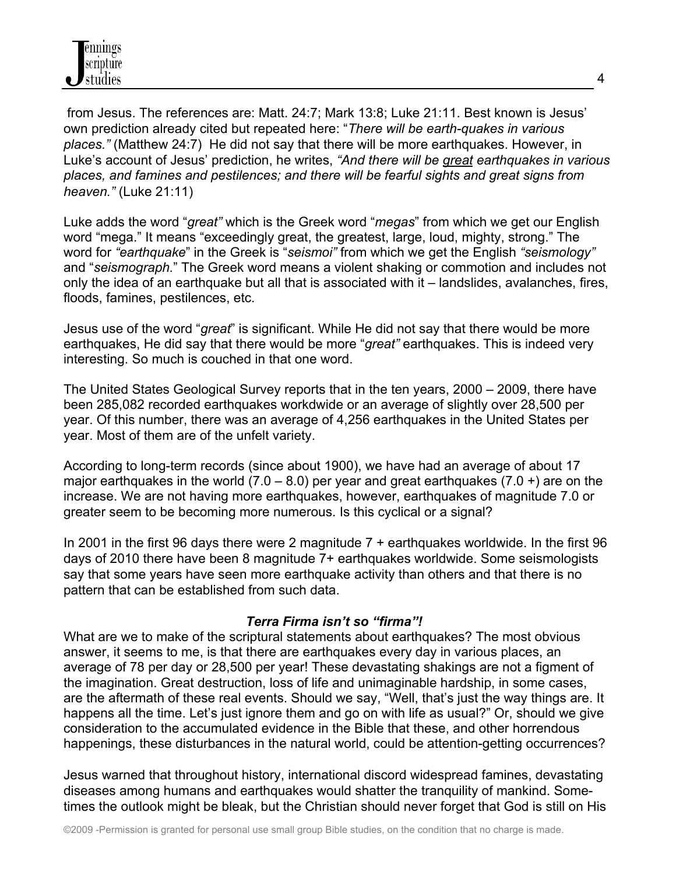from Jesus. The references are: Matt. 24:7; Mark 13:8; Luke 21:11. Best known is Jesus' own prediction already cited but repeated here: "*There will be earth-quakes in various places."* (Matthew 24:7) He did not say that there will be more earthquakes. However, in Luke's account of Jesus' prediction, he writes, *"And there will be great earthquakes in various places, and famines and pestilences; and there will be fearful sights and great signs from heaven."* (Luke 21:11)

Luke adds the word "*great"* which is the Greek word "*megas*" from which we get our English word "mega." It means "exceedingly great, the greatest, large, loud, mighty, strong." The word for *"earthquake*" in the Greek is "*seismoi"* from which we get the English *"seismology"* and "*seismograph.*" The Greek word means a violent shaking or commotion and includes not only the idea of an earthquake but all that is associated with it – landslides, avalanches, fires, floods, famines, pestilences, etc.

Jesus use of the word "*great*" is significant. While He did not say that there would be more earthquakes, He did say that there would be more "*great"* earthquakes. This is indeed very interesting. So much is couched in that one word.

The United States Geological Survey reports that in the ten years, 2000 – 2009, there have been 285,082 recorded earthquakes workdwide or an average of slightly over 28,500 per year. Of this number, there was an average of 4,256 earthquakes in the United States per year. Most of them are of the unfelt variety.

According to long-term records (since about 1900), we have had an average of about 17 major earthquakes in the world  $(7.0 - 8.0)$  per year and great earthquakes  $(7.0 +)$  are on the increase. We are not having more earthquakes, however, earthquakes of magnitude 7.0 or greater seem to be becoming more numerous. Is this cyclical or a signal?

In 2001 in the first 96 days there were 2 magnitude  $7 +$  earthquakes worldwide. In the first 96 days of 2010 there have been 8 magnitude 7+ earthquakes worldwide. Some seismologists say that some years have seen more earthquake activity than others and that there is no pattern that can be established from such data.

#### *Terra Firma isn't so "firma"!*

What are we to make of the scriptural statements about earthquakes? The most obvious answer, it seems to me, is that there are earthquakes every day in various places, an average of 78 per day or 28,500 per year! These devastating shakings are not a figment of the imagination. Great destruction, loss of life and unimaginable hardship, in some cases, are the aftermath of these real events. Should we say, "Well, that's just the way things are. It happens all the time. Let's just ignore them and go on with life as usual?" Or, should we give consideration to the accumulated evidence in the Bible that these, and other horrendous happenings, these disturbances in the natural world, could be attention-getting occurrences?

Jesus warned that throughout history, international discord widespread famines, devastating diseases among humans and earthquakes would shatter the tranquility of mankind. Sometimes the outlook might be bleak, but the Christian should never forget that God is still on His